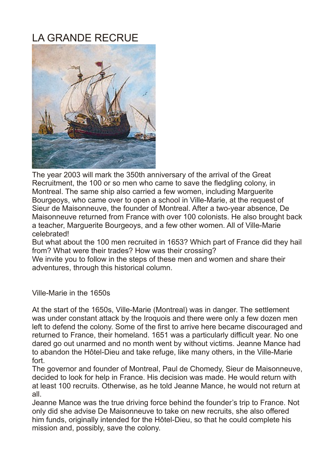## LA GRANDE RECRUE



The year 2003 will mark the 350th anniversary of the arrival of the Great Recruitment, the 100 or so men who came to save the fledgling colony, in Montreal. The same ship also carried a few women, including Marguerite Bourgeoys, who came over to open a school in Ville-Marie, at the request of Sieur de Maisonneuve, the founder of Montreal. After a two-year absence, De Maisonneuve returned from France with over 100 colonists. He also brought back a teacher, Marguerite Bourgeoys, and a few other women. All of Ville-Marie celebrated!

But what about the 100 men recruited in 1653? Which part of France did they hail from? What were their trades? How was their crossing?

We invite you to follow in the steps of these men and women and share their adventures, through this historical column.

Ville-Marie in the 1650s

At the start of the 1650s, Ville-Marie (Montreal) was in danger. The settlement was under constant attack by the Iroquois and there were only a few dozen men left to defend the colony. Some of the first to arrive here became discouraged and returned to France, their homeland. 1651 was a particularly difficult year. No one dared go out unarmed and no month went by without victims. Jeanne Mance had to abandon the Hôtel-Dieu and take refuge, like many others, in the Ville-Marie fort.

The governor and founder of Montreal, Paul de Chomedy, Sieur de Maisonneuve, decided to look for help in France. His decision was made. He would return with at least 100 recruits. Otherwise, as he told Jeanne Mance, he would not return at all.

Jeanne Mance was the true driving force behind the founder's trip to France. Not only did she advise De Maisonneuve to take on new recruits, she also offered him funds, originally intended for the Hôtel-Dieu, so that he could complete his mission and, possibly, save the colony.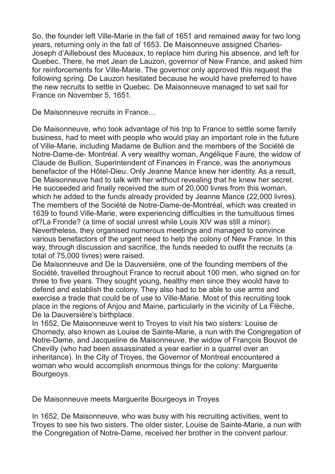So, the founder left Ville-Marie in the fall of 1651 and remained away for two long years, returning only in the fall of 1653. De Maisonneuve assigned Charles-Joseph d'Ailleboust des Muceaux, to replace him during his absence, and left for Quebec. There, he met Jean de Lauzon, governor of New France, and asked him for reinforcements for Ville-Marie. The governor only approved this request the following spring. De Lauzon hesitated because he would have preferred to have the new recruits to settle in Quebec. De Maisonneuve managed to set sail for France on November 5, 1651.

De Maisonneuve recruits in France…

De Maisonneuve, who took advantage of his trip to France to settle some family business, had to meet with people who would play an important role in the future of Ville-Marie, including Madame de Bullion and the members of the Société de Notre-Dame-de- Montréal. A very wealthy woman, Angélique Faure, the widow of Claude de Bullion, Superintendent of Finances in France, was the anonymous benefactor of the Hôtel-Dieu. Only Jeanne Mance knew her identity. As a result, De Maisonneuve had to talk with her without revealing that he knew her secret. He succeeded and finally received the sum of 20,000 livres from this woman, which he added to the funds already provided by Jeanne Mance (22,000 livres). The members of the Société de Notre-Dame-de-Montréal, which was created in 1639 to found Ville-Marie, were experiencing difficulties in the tumultuous times of?La Fronde? (a time of social unrest while Louis XIV was still a minor). Nevertheless, they organised numerous meetings and managed to convince various benefactors of the urgent need to help the colony of New France. In this way, through discussion and sacrifice, the funds needed to outfit the recruits (a total of 75,000 livres) were raised.

De Maisonneuve and De la Dauversière, one of the founding members of the Société, travelled throughout France to recruit about 100 men, who signed on for three to five years. They sought young, healthy men since they would have to defend and establish the colony. They also had to be able to use arms and exercise a trade that could be of use to Ville-Marie. Most of this recruiting took place in the regions of Anjou and Maine, particularly in the vicinity of La Flèche, De la Dauversière's birthplace.

In 1652, De Maisonneuve went to Troyes to visit his two sisters: Louise de Chomedy, also known as Louise de Sainte-Marie, a nun with the Congregation of Notre-Dame, and Jacqueline de Maisonneuve, the widow of François Bouvot de Chevilly (who had been assassinated a year earlier in a quarrel over an inheritance). In the City of Troyes, the Governor of Montreal encountered a woman who would accomplish enormous things for the colony: Marguerite Bourgeoys.

De Maisonneuve meets Marguerite Bourgeoys in Troyes

In 1652, De Maisonneuve, who was busy with his recruiting activities, went to Troyes to see his two sisters. The older sister, Louise de Sainte-Marie, a nun with the Congregation of Notre-Dame, received her brother in the convent parlour.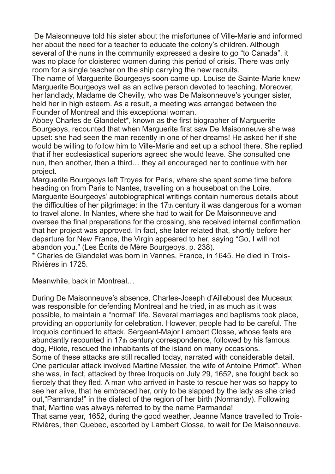De Maisonneuve told his sister about the misfortunes of Ville-Marie and informed her about the need for a teacher to educate the colony's children. Although several of the nuns in the community expressed a desire to go "to Canada", it was no place for cloistered women during this period of crisis. There was only room for a single teacher on the ship carrying the new recruits.

The name of Marguerite Bourgeoys soon came up. Louise de Sainte-Marie knew Marguerite Bourgeoys well as an active person devoted to teaching. Moreover, her landlady, Madame de Chevilly, who was De Maisonneuve's younger sister, held her in high esteem. As a result, a meeting was arranged between the Founder of Montreal and this exceptional woman.

Abbey Charles de Glandelet\*, known as the first biographer of Marguerite Bourgeoys, recounted that when Marguerite first saw De Maisonneuve she was upset: she had seen the man recently in one of her dreams! He asked her if she would be willing to follow him to Ville-Marie and set up a school there. She replied that if her ecclesiastical superiors agreed she would leave. She consulted one nun, then another, then a third… they all encouraged her to continue with her project.

Marguerite Bourgeoys left Troyes for Paris, where she spent some time before heading on from Paris to Nantes, travelling on a houseboat on the Loire. Marguerite Bourgeoys' autobiographical writings contain numerous details about the difficulties of her pilgrimage: in the 17th century it was dangerous for a woman to travel alone. In Nantes, where she had to wait for De Maisonneuve and oversee the final preparations for the crossing, she received internal confirmation that her project was approved. In fact, she later related that, shortly before her departure for New France, the Virgin appeared to her, saying "Go, I will not abandon you." (Les Écrits de Mère Bourgeoys, p. 238).

\* Charles de Glandelet was born in Vannes, France, in 1645. He died in Trois-Rivières in 1725.

Meanwhile, back in Montreal…

During De Maisonneuve's absence, Charles-Joseph d'Ailleboust des Muceaux was responsible for defending Montreal and he tried, in as much as it was possible, to maintain a "normal" life. Several marriages and baptisms took place, providing an opportunity for celebration. However, people had to be careful. The Iroquois continued to attack. Sergeant-Major Lambert Closse, whose feats are abundantly recounted in 17th century correspondence, followed by his famous dog, Pilote, rescued the inhabitants of the island on many occasions. Some of these attacks are still recalled today, narrated with considerable detail. One particular attack involved Martine Messier, the wife of Antoine Primot\*. When she was, in fact, attacked by three Iroquois on July 29, 1652, she fought back so fiercely that they fled. A man who arrived in haste to rescue her was so happy to see her alive, that he embraced her, only to be slapped by the lady as she cried out,"Parmanda!" in the dialect of the region of her birth (Normandy). Following that, Martine was always referred to by the name Parmanda!

That same year, 1652, during the good weather, Jeanne Mance travelled to Trois-Rivières, then Quebec, escorted by Lambert Closse, to wait for De Maisonneuve.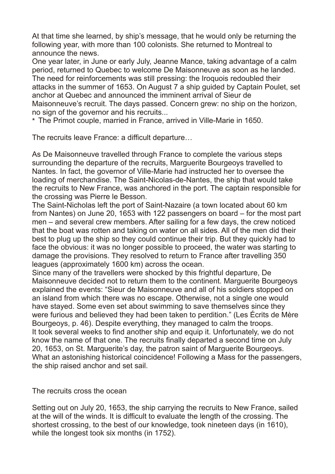At that time she learned, by ship's message, that he would only be returning the following year, with more than 100 colonists. She returned to Montreal to announce the news.

One year later, in June or early July, Jeanne Mance, taking advantage of a calm period, returned to Quebec to welcome De Maisonneuve as soon as he landed. The need for reinforcements was still pressing: the Iroquois redoubled their attacks in the summer of 1653. On August 7 a ship guided by Captain Poulet, set anchor at Quebec and announced the imminent arrival of Sieur de Maisonneuve's recruit. The days passed. Concern grew: no ship on the horizon, no sign of the governor and his recruits...

\* The Primot couple, married in France, arrived in Ville-Marie in 1650.

The recruits leave France: a difficult departure…

As De Maisonneuve travelled through France to complete the various steps surrounding the departure of the recruits, Marguerite Bourgeoys travelled to Nantes. In fact, the governor of Ville-Marie had instructed her to oversee the loading of merchandise. The Saint-Nicolas-de-Nantes, the ship that would take the recruits to New France, was anchored in the port. The captain responsible for the crossing was Pierre le Besson.

The Saint-Nicholas left the port of Saint-Nazaire (a town located about 60 km from Nantes) on June 20, 1653 with 122 passengers on board – for the most part men – and several crew members. After sailing for a few days, the crew noticed that the boat was rotten and taking on water on all sides. All of the men did their best to plug up the ship so they could continue their trip. But they quickly had to face the obvious: it was no longer possible to proceed, the water was starting to damage the provisions. They resolved to return to France after travelling 350 leagues (approximately 1600 km) across the ocean.

Since many of the travellers were shocked by this frightful departure, De Maisonneuve decided not to return them to the continent. Marguerite Bourgeoys explained the events: "Sieur de Maisonneuve and all of his soldiers stopped on an island from which there was no escape. Otherwise, not a single one would have stayed. Some even set about swimming to save themselves since they were furious and believed they had been taken to perdition." (Les Écrits de Mère Bourgeoys, p. 46). Despite everything, they managed to calm the troops. It took several weeks to find another ship and equip it. Unfortunately, we do not know the name of that one. The recruits finally departed a second time on July 20, 1653, on St. Marguerite's day, the patron saint of Marguerite Bourgeoys. What an astonishing historical coincidence! Following a Mass for the passengers, the ship raised anchor and set sail.

The recruits cross the ocean

Setting out on July 20, 1653, the ship carrying the recruits to New France, sailed at the will of the winds. It is difficult to evaluate the length of the crossing. The shortest crossing, to the best of our knowledge, took nineteen days (in 1610), while the longest took six months (in 1752).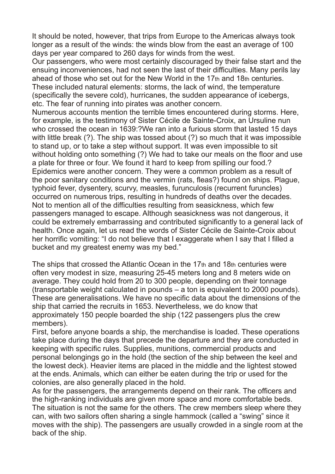It should be noted, however, that trips from Europe to the Americas always took longer as a result of the winds: the winds blow from the east an average of 100 days per year compared to 260 days for winds from the west.

Our passengers, who were most certainly discouraged by their false start and the ensuing inconveniences, had not seen the last of their difficulties. Many perils lay ahead of those who set out for the New World in the 17th and 18th centuries. These included natural elements: storms, the lack of wind, the temperature (specifically the severe cold), hurricanes, the sudden appearance of icebergs, etc. The fear of running into pirates was another concern.

Numerous accounts mention the terrible times encountered during storms. Here, for example, is the testimony of Sister Cécile de Sainte-Croix, an Ursuline nun who crossed the ocean in 1639:?We ran into a furious storm that lasted 15 days with little break (?). The ship was tossed about (?) so much that it was impossible to stand up, or to take a step without support. It was even impossible to sit without holding onto something (?) We had to take our meals on the floor and use a plate for three or four. We found it hard to keep from spilling our food.? Epidemics were another concern. They were a common problem as a result of the poor sanitary conditions and the vermin (rats, fleas?) found on ships. Plague, typhoid fever, dysentery, scurvy, measles, furunculosis (recurrent furuncles) occurred on numerous trips, resulting in hundreds of deaths over the decades. Not to mention all of the difficulties resulting from seasickness, which few passengers managed to escape. Although seasickness was not dangerous, it could be extremely embarrassing and contributed significantly to a general lack of health. Once again, let us read the words of Sister Cécile de Sainte-Croix about her horrific vomiting: "I do not believe that I exaggerate when I say that I filled a bucket and my greatest enemy was my bed."

The ships that crossed the Atlantic Ocean in the 17th and 18th centuries were often very modest in size, measuring 25-45 meters long and 8 meters wide on average. They could hold from 20 to 300 people, depending on their tonnage (transportable weight calculated in pounds – a ton is equivalent to 2000 pounds). These are generalisations. We have no specific data about the dimensions of the ship that carried the recruits in 1653. Nevertheless, we do know that approximately 150 people boarded the ship (122 passengers plus the crew members).

First, before anyone boards a ship, the merchandise is loaded. These operations take place during the days that precede the departure and they are conducted in keeping with specific rules. Supplies, munitions, commercial products and personal belongings go in the hold (the section of the ship between the keel and the lowest deck). Heavier items are placed in the middle and the lightest stowed at the ends. Animals, which can either be eaten during the trip or used for the colonies, are also generally placed in the hold.

As for the passengers, the arrangements depend on their rank. The officers and the high-ranking individuals are given more space and more comfortable beds. The situation is not the same for the others. The crew members sleep where they can, with two sailors often sharing a single hammock (called a "swing" since it moves with the ship). The passengers are usually crowded in a single room at the back of the ship.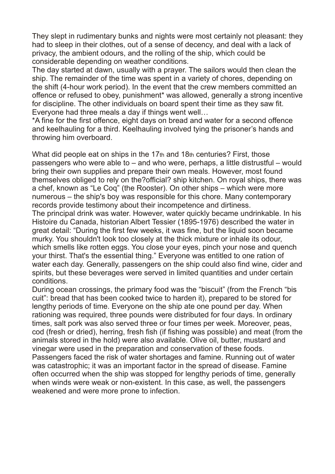They slept in rudimentary bunks and nights were most certainly not pleasant: they had to sleep in their clothes, out of a sense of decency, and deal with a lack of privacy, the ambient odours, and the rolling of the ship, which could be considerable depending on weather conditions.

The day started at dawn, usually with a prayer. The sailors would then clean the ship. The remainder of the time was spent in a variety of chores, depending on the shift (4-hour work period). In the event that the crew members committed an offence or refused to obey, punishment\* was allowed, generally a strong incentive for discipline. The other individuals on board spent their time as they saw fit. Everyone had three meals a day if things went well…

\*A fine for the first offence, eight days on bread and water for a second offence and keelhauling for a third. Keelhauling involved tying the prisoner's hands and throwing him overboard.

What did people eat on ships in the 17th and 18th centuries? First, those passengers who were able to – and who were, perhaps, a little distrustful – would bring their own supplies and prepare their own meals. However, most found themselves obliged to rely on the?official? ship kitchen. On royal ships, there was a chef, known as "Le Coq" (the Rooster). On other ships – which were more numerous – the ship's boy was responsible for this chore. Many contemporary records provide testimony about their incompetence and dirtiness.

The principal drink was water. However, water quickly became undrinkable. In his Histoire du Canada, historian Albert Tessier (1895-1976) described the water in great detail: "During the first few weeks, it was fine, but the liquid soon became murky. You shouldn't look too closely at the thick mixture or inhale its odour, which smells like rotten eggs. You close your eyes, pinch your nose and quench your thirst. That's the essential thing." Everyone was entitled to one ration of water each day. Generally, passengers on the ship could also find wine, cider and spirits, but these beverages were served in limited quantities and under certain conditions.

During ocean crossings, the primary food was the "biscuit" (from the French "bis cuit": bread that has been cooked twice to harden it), prepared to be stored for lengthy periods of time. Everyone on the ship ate one pound per day. When rationing was required, three pounds were distributed for four days. In ordinary times, salt pork was also served three or four times per week. Moreover, peas, cod (fresh or dried), herring, fresh fish (if fishing was possible) and meat (from the animals stored in the hold) were also available. Olive oil, butter, mustard and vinegar were used in the preparation and conservation of these foods. Passengers faced the risk of water shortages and famine. Running out of water was catastrophic; it was an important factor in the spread of disease. Famine often occurred when the ship was stopped for lengthy periods of time, generally when winds were weak or non-existent. In this case, as well, the passengers weakened and were more prone to infection.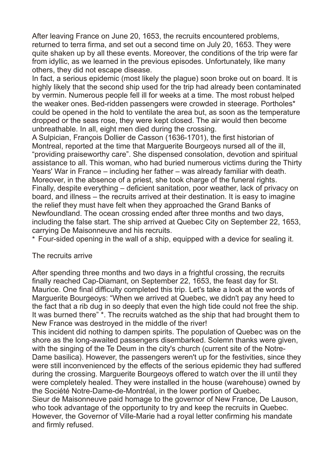After leaving France on June 20, 1653, the recruits encountered problems, returned to terra firma, and set out a second time on July 20, 1653. They were quite shaken up by all these events. Moreover, the conditions of the trip were far from idyllic, as we learned in the previous episodes. Unfortunately, like many others, they did not escape disease.

In fact, a serious epidemic (most likely the plague) soon broke out on board. It is highly likely that the second ship used for the trip had already been contaminated by vermin. Numerous people fell ill for weeks at a time. The most robust helped the weaker ones. Bed-ridden passengers were crowded in steerage. Portholes\* could be opened in the hold to ventilate the area but, as soon as the temperature dropped or the seas rose, they were kept closed. The air would then become unbreathable. In all, eight men died during the crossing.

A Sulpician, François Dollier de Casson (1636-1701), the first historian of Montreal, reported at the time that Marguerite Bourgeoys nursed all of the ill, "providing praiseworthy care". She dispensed consolation, devotion and spiritual assistance to all. This woman, who had buried numerous victims during the Thirty Years' War in France – including her father – was already familiar with death. Moreover, in the absence of a priest, she took charge of the funeral rights. Finally, despite everything – deficient sanitation, poor weather, lack of privacy on board, and illness – the recruits arrived at their destination. It is easy to imagine the relief they must have felt when they approached the Grand Banks of Newfoundland. The ocean crossing ended after three months and two days, including the false start. The ship arrived at Quebec City on September 22, 1653, carrying De Maisonneuve and his recruits.

\* Four-sided opening in the wall of a ship, equipped with a device for sealing it.

## The recruits arrive

After spending three months and two days in a frightful crossing, the recruits finally reached Cap-Diamant, on September 22, 1653, the feast day for St. Maurice. One final difficulty completed this trip. Let's take a look at the words of Marguerite Bourgeoys: "When we arrived at Quebec, we didn't pay any heed to the fact that a rib dug in so deeply that even the high tide could not free the ship. It was burned there" \*. The recruits watched as the ship that had brought them to New France was destroyed in the middle of the river!

This incident did nothing to dampen spirits. The population of Quebec was on the shore as the long-awaited passengers disembarked. Solemn thanks were given, with the singing of the Te Deum in the city's church (current site of the Notre-Dame basilica). However, the passengers weren't up for the festivities, since they were still inconvenienced by the effects of the serious epidemic they had suffered during the crossing. Marguerite Bourgeoys offered to watch over the ill until they were completely healed. They were installed in the house (warehouse) owned by the Société Notre-Dame-de-Montréal, in the lower portion of Quebec. Sieur de Maisonneuve paid homage to the governor of New France, De Lauson, who took advantage of the opportunity to try and keep the recruits in Quebec.

However, the Governor of Ville-Marie had a royal letter confirming his mandate and firmly refused.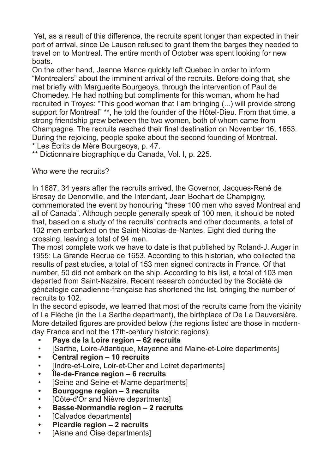Yet, as a result of this difference, the recruits spent longer than expected in their port of arrival, since De Lauson refused to grant them the barges they needed to travel on to Montreal. The entire month of October was spent looking for new boats.

On the other hand, Jeanne Mance quickly left Quebec in order to inform "Montrealers" about the imminent arrival of the recruits. Before doing that, she met briefly with Marguerite Bourgeoys, through the intervention of Paul de Chomedey. He had nothing but compliments for this woman, whom he had recruited in Troyes: "This good woman that I am bringing (...) will provide strong support for Montreal" \*\*, he told the founder of the Hôtel-Dieu. From that time, a strong friendship grew between the two women, both of whom came from Champagne. The recruits reached their final destination on November 16, 1653. During the rejoicing, people spoke about the second founding of Montreal. \* Les Écrits de Mère Bourgeoys, p. 47.

\*\* Dictionnaire biographique du Canada, Vol. I, p. 225.

Who were the recruits?

In 1687, 34 years after the recruits arrived, the Governor, Jacques-René de Bresay de Denonville, and the Intendant, Jean Bochart de Champigny, commemorated the event by honouring "these 100 men who saved Montreal and all of Canada". Although people generally speak of 100 men, it should be noted that, based on a study of the recruits' contracts and other documents, a total of 102 men embarked on the Saint-Nicolas-de-Nantes. Eight died during the crossing, leaving a total of 94 men.

The most complete work we have to date is that published by Roland-J. Auger in 1955: La Grande Recrue de 1653. According to this historian, who collected the results of past studies, a total of 153 men signed contracts in France. Of that number, 50 did not embark on the ship. According to his list, a total of 103 men departed from Saint-Nazaire. Recent research conducted by the Société de généalogie canadienne-française has shortened the list, bringing the number of recruits to 102.

In the second episode, we learned that most of the recruits came from the vicinity of La Flèche (in the La Sarthe department), the birthplace of De La Dauversière. More detailed figures are provided below (the regions listed are those in modernday France and not the 17th-century historic regions):

- **Pays de la Loire region 62 recruits**
- [Sarthe, Loire-Atlantique, Mayenne and Maine-et-Loire departments]
- **Central region 10 recruits**
- [Indre-et-Loire, Loir-et-Cher and Loiret departments]
- **Île-de-France region 6 recruits**
- [Seine and Seine-et-Marne departments]
- **Bourgogne region 3 recruits**
- **ICôte-d'Or and Nièvre departmentsl**
- **Basse-Normandie region 2 recruits**
- **ICalvados departments]**
- **Picardie region 2 recruits**
- **IAisne and Oise departmentsl**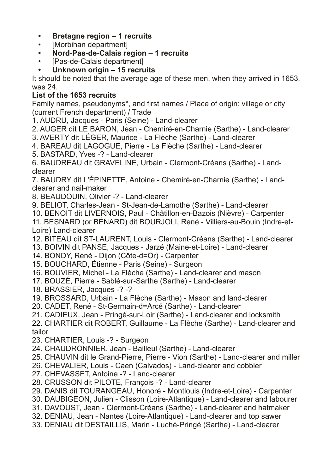- **Bretagne region 1 recruits**
- [Morbihan department]
- **Nord-Pas-de-Calais region 1 recruits**
- [Pas-de-Calais department]
- **Unknown origin 15 recruits**

It should be noted that the average age of these men, when they arrived in 1653, was 24.

## **List of the 1653 recruits**

Family names, pseudonyms\*, and first names / Place of origin: village or city (current French department) / Trade

- 1. AUDRU, Jacques Paris (Seine) Land-clearer
- 2. AUGER dit LE BARON, Jean Chemiré-en-Charnie (Sarthe) Land-clearer
- 3. AVERTY dit LÉGER, Maurice La Flèche (Sarthe) Land-clearer
- 4. BAREAU dit LAGOGUE, Pierre La Flèche (Sarthe) Land-clearer
- 5. BASTARD, Yves -? Land-clearer

6. BAUDREAU dit GRAVELINE, Urbain - Clermont-Créans (Sarthe) - Landclearer

7. BAUDRY dit L'ÉPINETTE, Antoine - Chemiré-en-Charnie (Sarthe) - Landclearer and nail-maker

8. BEAUDOUIN, Olivier -? - Land-clearer

9. BÉLIOT, Charles-Jean - St-Jean-de-Lamothe (Sarthe) - Land-clearer

10. BENOIT dit LIVERNOIS, Paul - Châtillon-en-Bazois (Nièvre) - Carpenter

- 11. BESNARD (or BÉNARD) dit BOURJOLI, René Villiers-au-Bouin (Indre-et-Loire) Land-clearer
- 12. BITEAU dit ST-LAURENT, Louis Clermont-Créans (Sarthe) Land-clearer
- 13. BOIVIN dit PANSE, Jacques Jarzé (Maine-et-Loire) Land-clearer
- 14. BONDY, René Dijon (Côte-d=Or) Carpenter
- 15. BOUCHARD, Étienne Paris (Seine) Surgeon
- 16. BOUVIER, Michel La Flèche (Sarthe) Land-clearer and mason
- 17. BOUZÉ, Pierre Sablé-sur-Sarthe (Sarthe) Land-clearer

18. BRASSIER, Jacques -? -?

- 19. BROSSARD, Urbain La Flèche (Sarthe) Mason and land-clearer
- 20. CADET, René St-Germain-d=Arcé (Sarthe) Land-clearer
- 21. CADIEUX, Jean Pringé-sur-Loir (Sarthe) Land-clearer and locksmith

22. CHARTIER dit ROBERT, Guillaume - La Flèche (Sarthe) - Land-clearer and tailor

- 23. CHARTIER, Louis -? Surgeon
- 24. CHAUDRONNIER, Jean Bailleul (Sarthe) Land-clearer
- 25. CHAUVIN dit le Grand-Pierre, Pierre Vion (Sarthe) Land-clearer and miller
- 26. CHEVALIER, Louis Caen (Calvados) Land-clearer and cobbler
- 27. CHEVASSET, Antoine -? Land-clearer
- 28. CRUSSON dit PILOTE, François -? Land-clearer
- 29. DANIS dit TOURANGEAU, Honoré Montlouis (Indre-et-Loire) Carpenter
- 30. DAUBIGEON, Julien Clisson (Loire-Atlantique) Land-clearer and labourer
- 31. DAVOUST, Jean Clermont-Créans (Sarthe) Land-clearer and hatmaker
- 32. DENIAU, Jean Nantes (Loire-Atlantique) Land-clearer and top sawer
- 33. DENIAU dit DESTAILLIS, Marin Luché-Pringé (Sarthe) Land-clearer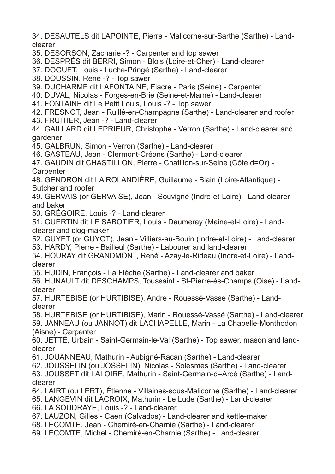34. DESAUTELS dit LAPOINTE, Pierre - Malicorne-sur-Sarthe (Sarthe) - Landclearer

35. DESORSON, Zacharie -? - Carpenter and top sawer

36. DESPRÉS dit BERRI, Simon - Blois (Loire-et-Cher) - Land-clearer

- 37. DOGUET, Louis Luché-Pringé (Sarthe) Land-clearer
- 38. DOUSSIN, René -? Top sawer
- 39. DUCHARME dit LAFONTAINE, Fiacre Paris (Seine) Carpenter
- 40. DUVAL, Nicolas Forges-en-Brie (Seine-et-Marne) Land-clearer
- 41. FONTAINE dit Le Petit Louis, Louis -? Top sawer
- 42. FRESNOT, Jean Ruillé-en-Champagne (Sarthe) Land-clearer and roofer
- 43. FRUITIER, Jean -? Land-clearer
- 44. GAILLARD dit LEPRIEUR, Christophe Verron (Sarthe) Land-clearer and gardener
- 45. GALBRUN, Simon Verron (Sarthe) Land-clearer
- 46. GASTEAU, Jean Clermont-Créans (Sarthe) Land-clearer
- 47. GAUDIN dit CHASTILLON, Pierre Chatillon-sur-Seine (Côte d=Or) **Carpenter**
- 48. GENDRON dit LA ROLANDIÈRE, Guillaume Blain (Loire-Atlantique) Butcher and roofer
- 49. GERVAIS (or GERVAISE), Jean Souvigné (Indre-et-Loire) Land-clearer and baker
- 50. GRÉGOIRE, Louis -? Land-clearer
- 51. GUERTIN dit LE SABOTIER, Louis Daumeray (Maine-et-Loire) Landclearer and clog-maker
- 52. GUYET (or GUYOT), Jean Villiers-au-Bouin (Indre-et-Loire) Land-clearer 53. HARDY, Pierre - Bailleul (Sarthe) - Labourer and land-clearer
- 54. HOURAY dit GRANDMONT, René Azay-le-Rideau (Indre-et-Loire) Landclearer
- 55. HUDIN, François La Flèche (Sarthe) Land-clearer and baker
- 56. HUNAULT dit DESCHAMPS, Toussaint St-Pierre-ès-Champs (Oise) Landclearer
- 57. HURTEBISE (or HURTIBISE), André Rouessé-Vassé (Sarthe) Landclearer
- 58. HURTEBISE (or HURTIBISE), Marin Rouessé-Vassé (Sarthe) Land-clearer 59. JANNEAU (ou JANNOT) dit LACHAPELLE, Marin - La Chapelle-Monthodon (Aisne) - Carpenter
- 60. JETTÉ, Urbain Saint-Germain-le-Val (Sarthe) Top sawer, mason and landclearer
- 61. JOUANNEAU, Mathurin Aubigné-Racan (Sarthe) Land-clearer
- 62. JOUSSELIN (ou JOSSELIN), Nicolas Solesmes (Sarthe) Land-clearer
- 63. JOUSSET dit LALOIRE, Mathurin Saint-Germain-d=Arcé (Sarthe) Landclearer
- 64. LAIRT (ou LERT), Étienne Villaines-sous-Malicorne (Sarthe) Land-clearer
- 65. LANGEVIN dit LACROIX, Mathurin Le Lude (Sarthe) Land-clearer
- 66. LA SOUDRAYE, Louis -? Land-clearer
- 67. LAUZON, Gilles Caen (Calvados) Land-clearer and kettle-maker
- 68. LECOMTE, Jean Chemiré-en-Charnie (Sarthe) Land-clearer
- 69. LECOMTE, Michel Chemiré-en-Charnie (Sarthe) Land-clearer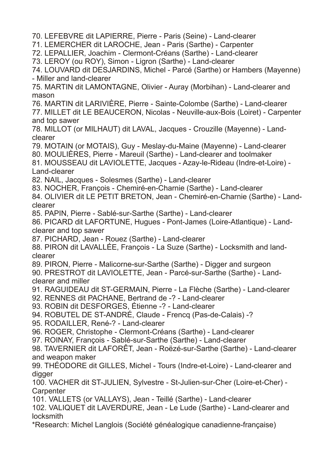70. LEFEBVRE dit LAPIERRE, Pierre - Paris (Seine) - Land-clearer

71. LEMERCHER dit LAROCHE, Jean - Paris (Sarthe) - Carpenter

72. LEPALLIER, Joachim - Clermont-Créans (Sarthe) - Land-clearer

73. LEROY (ou ROY), Simon - Ligron (Sarthe) - Land-clearer

74. LOUVARD dit DESJARDINS, Michel - Parcé (Sarthe) or Hambers (Mayenne) - Miller and land-clearer

75. MARTIN dit LAMONTAGNE, Olivier - Auray (Morbihan) - Land-clearer and mason

76. MARTIN dit LARIVIÈRE, Pierre - Sainte-Colombe (Sarthe) - Land-clearer 77. MILLET dit LE BEAUCERON, Nicolas - Neuville-aux-Bois (Loiret) - Carpenter and top sawer

78. MILLOT (or MILHAUT) dit LAVAL, Jacques - Crouzille (Mayenne) - Landclearer

79. MOTAIN (or MOTAIS), Guy - Meslay-du-Maine (Mayenne) - Land-clearer

80. MOULIÈRES, Pierre - Mareuil (Sarthe) - Land-clearer and toolmaker

81. MOUSSEAU dit LAVIOLETTE, Jacques - Azay-le-Rideau (Indre-et-Loire) - Land-clearer

82. NAIL, Jacques - Solesmes (Sarthe) - Land-clearer

83. NOCHER, François - Chemiré-en-Charnie (Sarthe) - Land-clearer

84. OLIVIER dit LE PETIT BRETON, Jean - Chemiré-en-Charnie (Sarthe) - Landclearer

85. PAPIN, Pierre - Sablé-sur-Sarthe (Sarthe) - Land-clearer

86. PICARD dit LAFORTUNE, Hugues - Pont-James (Loire-Atlantique) - Landclearer and top sawer

87. PICHARD, Jean - Rouez (Sarthe) - Land-clearer

88. PIRON dit LAVALLÉE, François - La Suze (Sarthe) - Locksmith and landclearer

89. PIRON, Pierre - Malicorne-sur-Sarthe (Sarthe) - Digger and surgeon

90. PRESTROT dit LAVIOLETTE, Jean - Parcé-sur-Sarthe (Sarthe) - Landclearer and miller

91. RAGUIDEAU dit ST-GERMAIN, Pierre - La Flèche (Sarthe) - Land-clearer

92. RENNES dit PACHANE, Bertrand de -? - Land-clearer

93. ROBIN dit DESFORGES, Étienne -? - Land-clearer

94. ROBUTEL DE ST-ANDRÉ, Claude - Frencq (Pas-de-Calais) -?

95. RODAILLER, René-? - Land-clearer

96. ROGER, Christophe - Clermont-Créans (Sarthe) - Land-clearer

97. ROINAY, François - Sablé-sur-Sarthe (Sarthe) - Land-clearer

98. TAVERNIER dit LAFORÊT, Jean - Roëzé-sur-Sarthe (Sarthe) - Land-clearer and weapon maker

99. THÉODORE dit GILLES, Michel - Tours (Indre-et-Loire) - Land-clearer and digger

100. VACHER dit ST-JULIEN, Sylvestre - St-Julien-sur-Cher (Loire-et-Cher) - **Carpenter** 

101. VALLETS (or VALLAYS), Jean - Teillé (Sarthe) - Land-clearer

102. VALIQUET dit LAVERDURE, Jean - Le Lude (Sarthe) - Land-clearer and locksmith

\*Research: Michel Langlois (Société généalogique canadienne-française)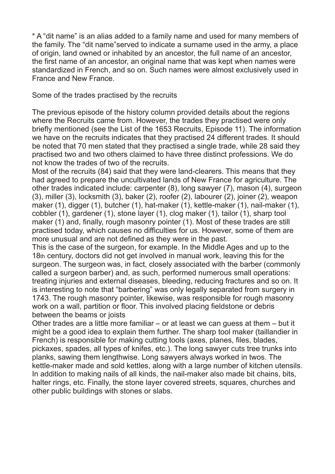\* A "dit name" is an alias added to a family name and used for many members of the family. The "dit name"served to indicate a surname used in the army, a place of origin, land owned or inhabited by an ancestor, the full name of an ancestor, the first name of an ancestor, an original name that was kept when names were standardized in French, and so on. Such names were almost exclusively used in France and New France.

Some of the trades practised by the recruits

The previous episode of the history column provided details about the regions where the Recruits came from. However, the trades they practised were only briefly mentioned (see the List of the 1653 Recruits, Episode 11). The information we have on the recruits indicates that they practised 24 different trades. It should be noted that 70 men stated that they practised a single trade, while 28 said they practised two and two others claimed to have three distinct professions. We do not know the trades of two of the recruits.

Most of the recruits (84) said that they were land-clearers. This means that they had agreed to prepare the uncultivated lands of New France for agriculture. The other trades indicated include: carpenter (8), long sawyer (7), mason (4), surgeon (3), miller (3), locksmith (3), baker (2), roofer (2), labourer (2), joiner (2), weapon maker (1), digger (1), butcher (1), hat-maker (1), kettle-maker (1), nail-maker (1), cobbler (1), gardener (1), stone layer (1), clog maker (1), tailor (1), sharp tool maker (1) and, finally, rough masonry pointer (1). Most of these trades are still practised today, which causes no difficulties for us. However, some of them are more unusual and are not defined as they were in the past.

This is the case of the surgeon, for example. In the Middle Ages and up to the 18th century, doctors did not get involved in manual work, leaving this for the surgeon. The surgeon was, in fact, closely associated with the barber (commonly called a surgeon barber) and, as such, performed numerous small operations: treating injuries and external diseases, bleeding, reducing fractures and so on. It is interesting to note that "barbering" was only legally separated from surgery in 1743. The rough masonry pointer, likewise, was responsible for rough masonry work on a wall, partition or floor. This involved placing fieldstone or debris between the beams or joists

Other trades are a little more familiar – or at least we can guess at them – but it might be a good idea to explain them further. The sharp tool maker (taillandier in French) is responsible for making cutting tools (axes, planes, files, blades, pickaxes, spades, all types of knifes, etc.). The long sawyer cuts tree trunks into planks, sawing them lengthwise. Long sawyers always worked in twos. The kettle-maker made and sold kettles, along with a large number of kitchen utensils. In addition to making nails of all kinds, the nail-maker also made bit chains, bits, halter rings, etc. Finally, the stone layer covered streets, squares, churches and other public buildings with stones or slabs.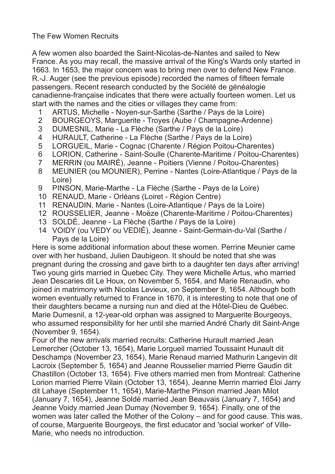The Few Women Recruits

A few women also boarded the Saint-Nicolas-de-Nantes and sailed to New France. As you may recall, the massive arrival of the King's Wards only started in 1663. In 1653, the major concern was to bring men over to defend New France. R.-J. Auger (see the previous episode) recorded the names of fifteen female passengers. Recent research conducted by the Société de généalogie canadienne-française indicates that there were actually fourteen women. Let us start with the names and the cities or villages they came from:

- 1 ARTUS, Michelle Noyen-sur-Sarthe (Sarthe / Pays de la Loire)
- 2 BOURGEOYS, Marguerite Troyes (Aube / Champagne-Ardenne)
- 3 DUMESNIL, Marie La Flèche (Sarthe / Pays de la Loire)
- 4 HURAULT, Catherine La Flèche (Sarthe / Pays de la Loire)
- 5 LORGUEIL, Marie Cognac (Charente / Région Poitou-Charentes)
- 6 LORION, Catherine Saint-Soulle (Charente-Maritime / Poitou-Charentes)
- 7 MERRIN (ou MAIRÉ), Jeanne Poitiers (Vienne / Poitou-Charentes)
- 8 MEUNIER (ou MOUNIER), Perrine Nantes (Loire-Atlantique / Pays de la Loire)
- 9 PINSON, Marie-Marthe La Flèche (Sarthe Pays de la Loire)
- 10 RENAUD, Marie Orléans (Loiret Région Centre)
- 11 RENAUDIN, Marie Nantes (Loire-Atlantique / Pays de la Loire)
- 12 ROUSSELIER, Jeanne Moëze (Charente-Maritime / Poitou-Charentes)
- 13 SOLDÉ, Jeanne La Flèche (Sarthe / Pays de la Loire)
- 14 VOIDY (ou VEDY ou VEDIÉ), Jeanne Saint-Germain-du-Val (Sarthe / Pays de la Loire)

Here is some additional information about these women. Perrine Meunier came over with her husband, Julien Daubigeon. It should be noted that she was pregnant during the crossing and gave birth to a daughter ten days after arriving! Two young girls married in Quebec City. They were Michelle Artus, who married Jean Descaries dit Le Houx, on November 5, 1654, and Marie Renaudin, who joined in matrimony with Nicolas Levieux, on September 9, 1654. Although both women eventually returned to France in 1670, it is interesting to note that one of their daughters became a nursing nun and died at the Hôtel-Dieu de Québec. Marie Dumesnil, a 12-year-old orphan was assigned to Marguerite Bourgeoys, who assumed responsibility for her until she married André Charly dit Saint-Ange (November 9, 1654).

Four of the new arrivals married recruits: Catherine Hurault married Jean Lemercher (October 13, 1654), Marie Lorgueil married Toussaint Hunault dit Deschamps (November 23, 1654), Marie Renaud married Mathurin Langevin dit Lacroix (September 5, 1654) and Jeanne Rousselier married Pierre Gaudin dit Chastillon (October 13, 1654). Five others married men from Montreal: Catherine Lorion married Pierre Vilain (October 13, 1654), Jeanne Merrin married Éloi Jarry dit Lahaye (September 11, 1654), Marie-Marthe Pinson married Jean Milot (January 7, 1654), Jeanne Soldé married Jean Beauvais (January 7, 1654) and Jeanne Voidy married Jean Dumay (November 9, 1654). Finally, one of the women was later called the Mother of the Colony – and for good cause. This was, of course, Marguerite Bourgeoys, the first educator and 'social worker' of Ville-Marie, who needs no introduction.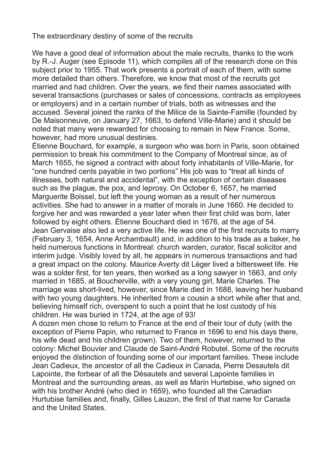The extraordinary destiny of some of the recruits

We have a good deal of information about the male recruits, thanks to the work by R.-J. Auger (see Episode 11), which compiles all of the research done on this subject prior to 1955. That work presents a portrait of each of them, with some more detailed than others. Therefore, we know that most of the recruits got married and had children. Over the years, we find their names associated with several transactions (purchases or sales of concessions, contracts as employees or employers) and in a certain number of trials, both as witnesses and the accused. Several joined the ranks of the Milice de la Sainte-Famille (founded by De Maisonneuve, on January 27, 1663, to defend Ville-Marie) and it should be noted that many were rewarded for choosing to remain in New France. Some, however, had more unusual destinies.

Étienne Bouchard, for example, a surgeon who was born in Paris, soon obtained permission to break his commitment to the Company of Montreal since, as of March 1655, he signed a contract with about forty inhabitants of Ville-Marie, for "one hundred cents payable in two portions" His job was to "treat all kinds of illnesses, both natural and accidental", with the exception of certain diseases such as the plague, the pox, and leprosy. On October 6, 1657, he married Marguerite Boissel, but left the young woman as a result of her numerous activities. She had to answer in a matter of morals in June 1660. He decided to forgive her and was rewarded a year later when their first child was born, later followed by eight others. Étienne Bouchard died in 1676, at the age of 54. Jean Gervaise also led a very active life. He was one of the first recruits to marry (February 3, 1654, Anne Archambault) and, in addition to his trade as a baker, he held numerous functions in Montreal: church warden, curator, fiscal solicitor and interim judge. Visibly loved by all, he appears in numerous transactions and had a great impact on the colony. Maurice Averty dit Léger lived a bittersweet life. He was a solder first, for ten years, then worked as a long sawyer in 1663, and only married in 1685, at Boucherville, with a very young girl, Marie Charles. The marriage was short-lived, however, since Marie died in 1688, leaving her husband with two young daughters. He inherited from a cousin a short while after that and, believing himself rich, overspent to such a point that he lost custody of his children. He was buried in 1724, at the age of 93!

A dozen men chose to return to France at the end of their tour of duty (with the exception of Pierre Papin, who returned to France in 1696 to end his days there, his wife dead and his children grown). Two of them, however, returned to the colony: Michel Bouvier and Claude de Saint-André Robutel. Some of the recruits enjoyed the distinction of founding some of our important families. These include Jean Cadieux, the ancestor of all the Cadieux in Canada, Pierre Desautels dit Lapointe, the forbear of all the Désautels and several Lapointe families in Montreal and the surrounding areas, as well as Marin Hurtebise, who signed on with his brother André (who died in 1659), who founded all the Canadian Hurtubise families and, finally, Gilles Lauzon, the first of that name for Canada and the United States.